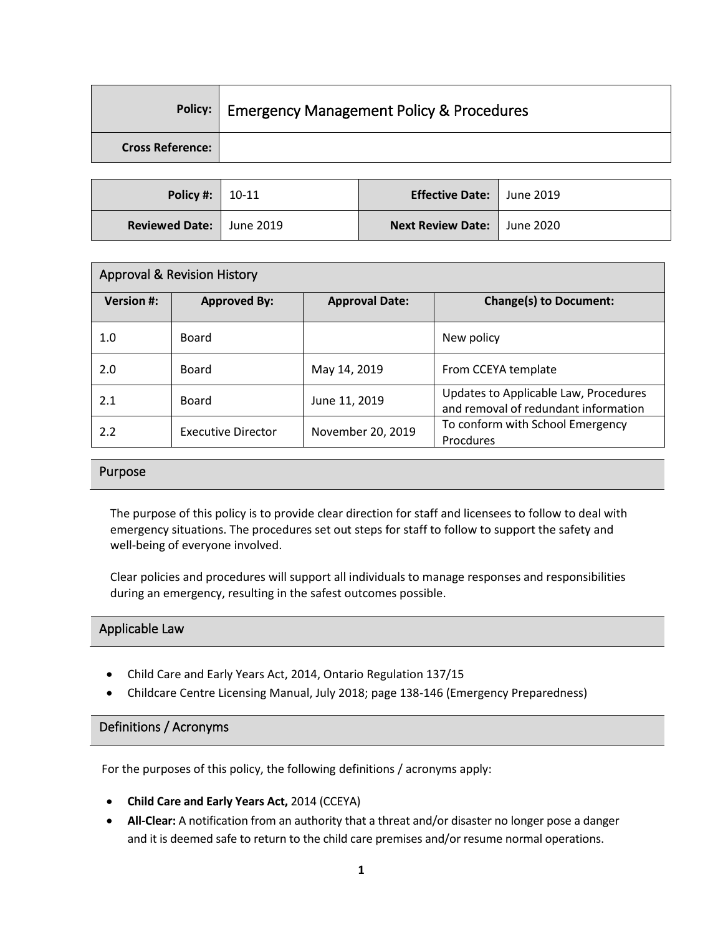|                         | Policy:   Emergency Management Policy & Procedures |
|-------------------------|----------------------------------------------------|
| <b>Cross Reference:</b> |                                                    |
|                         |                                                    |

| <b>Policy #:</b> $  10-11$        | Effective Date:   June 2019 |  |
|-----------------------------------|-----------------------------|--|
| <b>Reviewed Date:   June 2019</b> | Next Review Date: June 2020 |  |

| <b>Approval &amp; Revision History</b> |                           |                       |                                                                               |
|----------------------------------------|---------------------------|-----------------------|-------------------------------------------------------------------------------|
| <b>Version #:</b>                      | <b>Approved By:</b>       | <b>Approval Date:</b> | <b>Change(s) to Document:</b>                                                 |
| 1.0                                    | <b>Board</b>              |                       | New policy                                                                    |
| 2.0                                    | <b>Board</b>              | May 14, 2019          | From CCEYA template                                                           |
| 2.1                                    | <b>Board</b>              | June 11, 2019         | Updates to Applicable Law, Procedures<br>and removal of redundant information |
| 2.2                                    | <b>Executive Director</b> | November 20, 2019     | To conform with School Emergency<br>Procdures                                 |

## Purpose

The purpose of this policy is to provide clear direction for staff and licensees to follow to deal with emergency situations. The procedures set out steps for staff to follow to support the safety and well-being of everyone involved.

Clear policies and procedures will support all individuals to manage responses and responsibilities during an emergency, resulting in the safest outcomes possible.

#### Applicable Law

- Child Care and Early Years Act, 2014, Ontario Regulation 137/15
- Childcare Centre Licensing Manual, July 2018; page 138-146 (Emergency Preparedness)

#### Definitions / Acronyms

For the purposes of this policy, the following definitions / acronyms apply:

- **Child Care and Early Years Act,** 2014 (CCEYA)
- **All-Clear:** A notification from an authority that a threat and/or disaster no longer pose a danger and it is deemed safe to return to the child care premises and/or resume normal operations.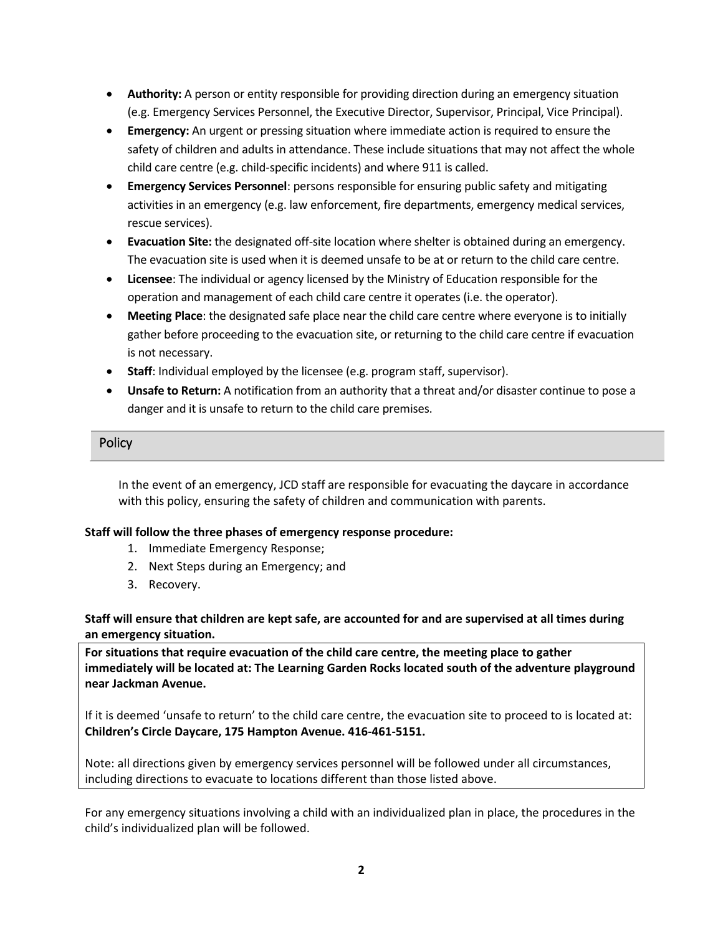- **Authority:** A person or entity responsible for providing direction during an emergency situation (e.g. Emergency Services Personnel, the Executive Director, Supervisor, Principal, Vice Principal).
- **Emergency:** An urgent or pressing situation where immediate action is required to ensure the safety of children and adults in attendance. These include situations that may not affect the whole child care centre (e.g. child-specific incidents) and where 911 is called.
- **Emergency Services Personnel**: persons responsible for ensuring public safety and mitigating activities in an emergency (e.g. law enforcement, fire departments, emergency medical services, rescue services).
- **Evacuation Site:** the designated off-site location where shelter is obtained during an emergency. The evacuation site is used when it is deemed unsafe to be at or return to the child care centre.
- **Licensee**: The individual or agency licensed by the Ministry of Education responsible for the operation and management of each child care centre it operates (i.e. the operator).
- **Meeting Place**: the designated safe place near the child care centre where everyone is to initially gather before proceeding to the evacuation site, or returning to the child care centre if evacuation is not necessary.
- **Staff**: Individual employed by the licensee (e.g. program staff, supervisor).
- **Unsafe to Return:** A notification from an authority that a threat and/or disaster continue to pose a danger and it is unsafe to return to the child care premises.

## **Policy**

In the event of an emergency, JCD staff are responsible for evacuating the daycare in accordance with this policy, ensuring the safety of children and communication with parents.

## **Staff will follow the three phases of emergency response procedure:**

- 1. Immediate Emergency Response;
- 2. Next Steps during an Emergency; and
- 3. Recovery.

**Staff will ensure that children are kept safe, are accounted for and are supervised at all times during an emergency situation.**

**For situations that require evacuation of the child care centre, the meeting place to gather immediately will be located at: The Learning Garden Rocks located south of the adventure playground near Jackman Avenue.**

If it is deemed 'unsafe to return' to the child care centre, the evacuation site to proceed to is located at: **Children's Circle Daycare, 175 Hampton Avenue. 416-461-5151.**

Note: all directions given by emergency services personnel will be followed under all circumstances, including directions to evacuate to locations different than those listed above.

For any emergency situations involving a child with an individualized plan in place, the procedures in the child's individualized plan will be followed.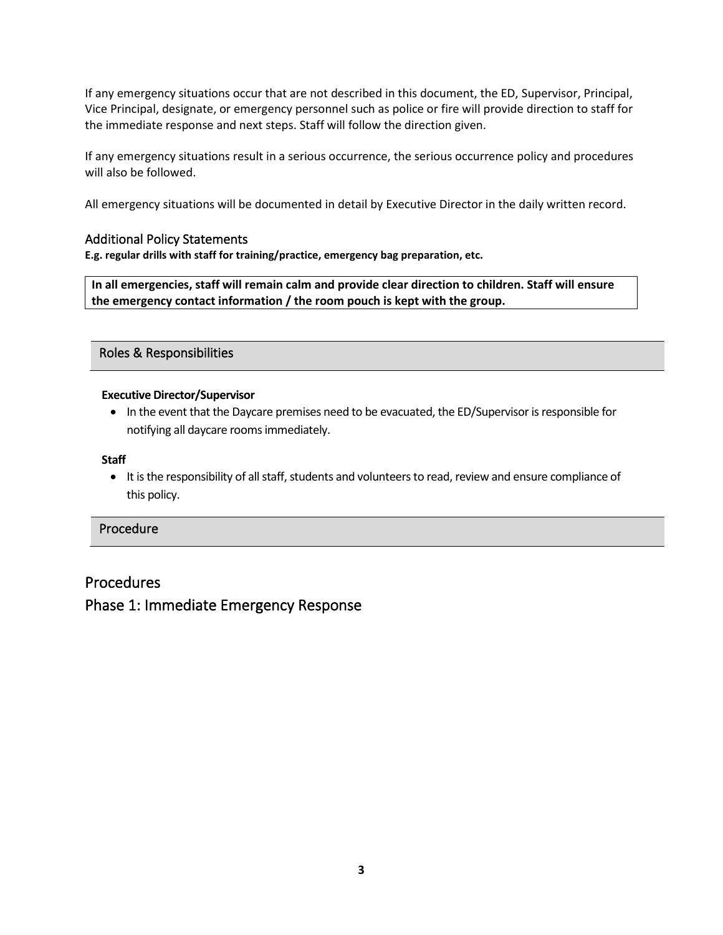If any emergency situations occur that are not described in this document, the ED, Supervisor, Principal, Vice Principal, designate, or emergency personnel such as police or fire will provide direction to staff for the immediate response and next steps. Staff will follow the direction given.

If any emergency situations result in a serious occurrence, the serious occurrence policy and procedures will also be followed.

All emergency situations will be documented in detail by Executive Director in the daily written record.

## Additional Policy Statements

**E.g. regular drills with staff for training/practice, emergency bag preparation, etc.**

**In all emergencies, staff will remain calm and provide clear direction to children. Staff will ensure the emergency contact information / the room pouch is kept with the group.** 

Roles & Responsibilities

#### **Executive Director/Supervisor**

• In the event that the Daycare premises need to be evacuated, the ED/Supervisor is responsible for notifying all daycare rooms immediately.

#### **Staff**

• It is the responsibility of all staff, students and volunteers to read, review and ensure compliance of this policy.

## Procedure

# Procedures Phase 1: Immediate Emergency Response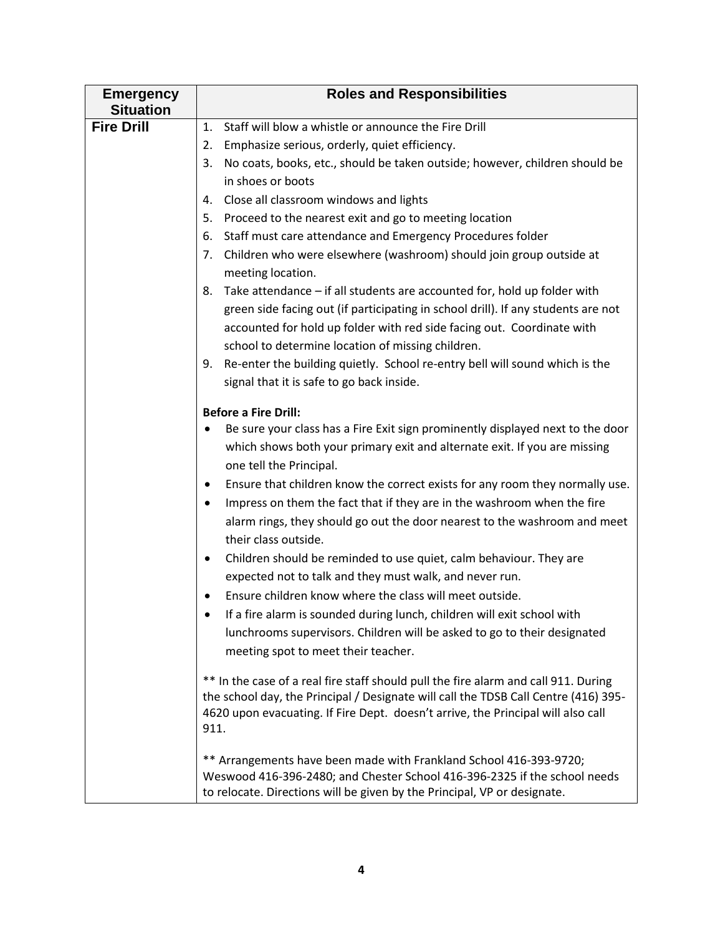| <b>Emergency</b><br><b>Situation</b> | <b>Roles and Responsibilities</b>                                                                                                                                                                                                                                      |
|--------------------------------------|------------------------------------------------------------------------------------------------------------------------------------------------------------------------------------------------------------------------------------------------------------------------|
| <b>Fire Drill</b>                    | Staff will blow a whistle or announce the Fire Drill<br>1.                                                                                                                                                                                                             |
|                                      | Emphasize serious, orderly, quiet efficiency.<br>2.                                                                                                                                                                                                                    |
|                                      | 3.<br>No coats, books, etc., should be taken outside; however, children should be                                                                                                                                                                                      |
|                                      | in shoes or boots                                                                                                                                                                                                                                                      |
|                                      | Close all classroom windows and lights<br>4.                                                                                                                                                                                                                           |
|                                      | Proceed to the nearest exit and go to meeting location<br>5.                                                                                                                                                                                                           |
|                                      | Staff must care attendance and Emergency Procedures folder<br>6.                                                                                                                                                                                                       |
|                                      | Children who were elsewhere (washroom) should join group outside at<br>7.<br>meeting location.                                                                                                                                                                         |
|                                      | Take attendance - if all students are accounted for, hold up folder with<br>8.                                                                                                                                                                                         |
|                                      | green side facing out (if participating in school drill). If any students are not                                                                                                                                                                                      |
|                                      | accounted for hold up folder with red side facing out. Coordinate with                                                                                                                                                                                                 |
|                                      | school to determine location of missing children.                                                                                                                                                                                                                      |
|                                      | Re-enter the building quietly. School re-entry bell will sound which is the<br>9.                                                                                                                                                                                      |
|                                      | signal that it is safe to go back inside.                                                                                                                                                                                                                              |
|                                      | <b>Before a Fire Drill:</b>                                                                                                                                                                                                                                            |
|                                      | Be sure your class has a Fire Exit sign prominently displayed next to the door<br>٠                                                                                                                                                                                    |
|                                      | which shows both your primary exit and alternate exit. If you are missing<br>one tell the Principal.                                                                                                                                                                   |
|                                      | Ensure that children know the correct exists for any room they normally use.<br>٠                                                                                                                                                                                      |
|                                      | Impress on them the fact that if they are in the washroom when the fire<br>$\bullet$                                                                                                                                                                                   |
|                                      | alarm rings, they should go out the door nearest to the washroom and meet<br>their class outside.                                                                                                                                                                      |
|                                      | Children should be reminded to use quiet, calm behaviour. They are<br>٠<br>expected not to talk and they must walk, and never run.                                                                                                                                     |
|                                      | Ensure children know where the class will meet outside.                                                                                                                                                                                                                |
|                                      | If a fire alarm is sounded during lunch, children will exit school with                                                                                                                                                                                                |
|                                      | lunchrooms supervisors. Children will be asked to go to their designated                                                                                                                                                                                               |
|                                      | meeting spot to meet their teacher.                                                                                                                                                                                                                                    |
|                                      | ** In the case of a real fire staff should pull the fire alarm and call 911. During<br>the school day, the Principal / Designate will call the TDSB Call Centre (416) 395-<br>4620 upon evacuating. If Fire Dept. doesn't arrive, the Principal will also call<br>911. |
|                                      | ** Arrangements have been made with Frankland School 416-393-9720;<br>Weswood 416-396-2480; and Chester School 416-396-2325 if the school needs<br>to relocate. Directions will be given by the Principal, VP or designate.                                            |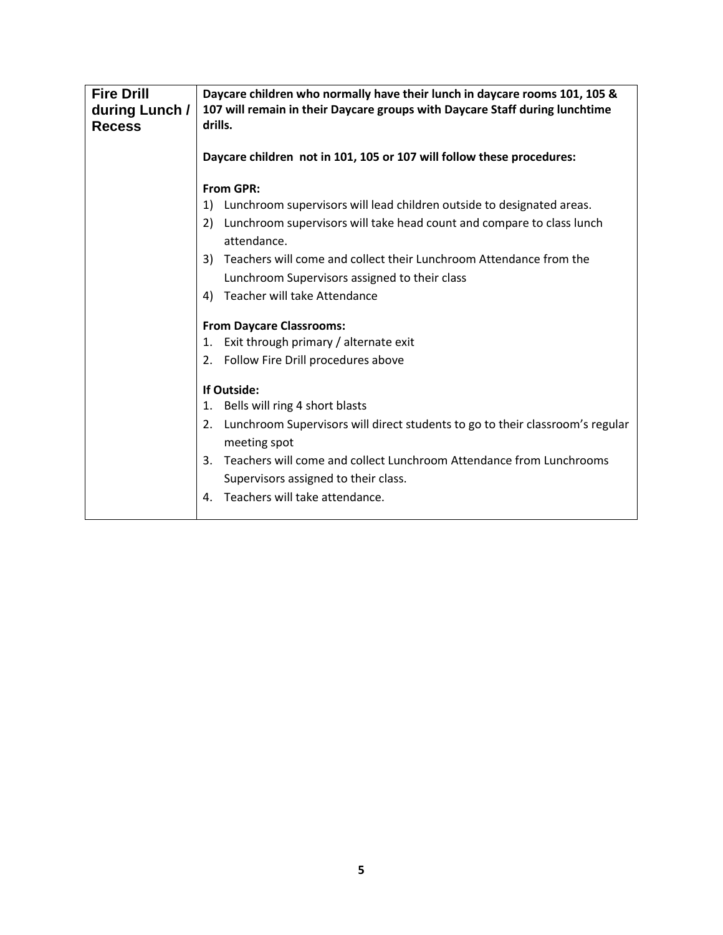| <b>Fire Drill</b><br>during Lunch /<br><b>Recess</b> | Daycare children who normally have their lunch in daycare rooms 101, 105 &<br>107 will remain in their Daycare groups with Daycare Staff during lunchtime<br>drills. |
|------------------------------------------------------|----------------------------------------------------------------------------------------------------------------------------------------------------------------------|
|                                                      | Daycare children not in 101, 105 or 107 will follow these procedures:                                                                                                |
|                                                      | <b>From GPR:</b>                                                                                                                                                     |
|                                                      | Lunchroom supervisors will lead children outside to designated areas.<br>1)                                                                                          |
|                                                      | Lunchroom supervisors will take head count and compare to class lunch<br>2)<br>attendance.                                                                           |
|                                                      | 3) Teachers will come and collect their Lunchroom Attendance from the                                                                                                |
|                                                      | Lunchroom Supervisors assigned to their class                                                                                                                        |
|                                                      | Teacher will take Attendance<br>4)                                                                                                                                   |
|                                                      | <b>From Daycare Classrooms:</b>                                                                                                                                      |
|                                                      | Exit through primary / alternate exit<br>1.                                                                                                                          |
|                                                      | Follow Fire Drill procedures above<br>2.                                                                                                                             |
|                                                      | If Outside:                                                                                                                                                          |
|                                                      | Bells will ring 4 short blasts<br>1.                                                                                                                                 |
|                                                      | Lunchroom Supervisors will direct students to go to their classroom's regular<br>2.<br>meeting spot                                                                  |
|                                                      | Teachers will come and collect Lunchroom Attendance from Lunchrooms<br>3.                                                                                            |
|                                                      | Supervisors assigned to their class.                                                                                                                                 |
|                                                      | Teachers will take attendance.<br>4.                                                                                                                                 |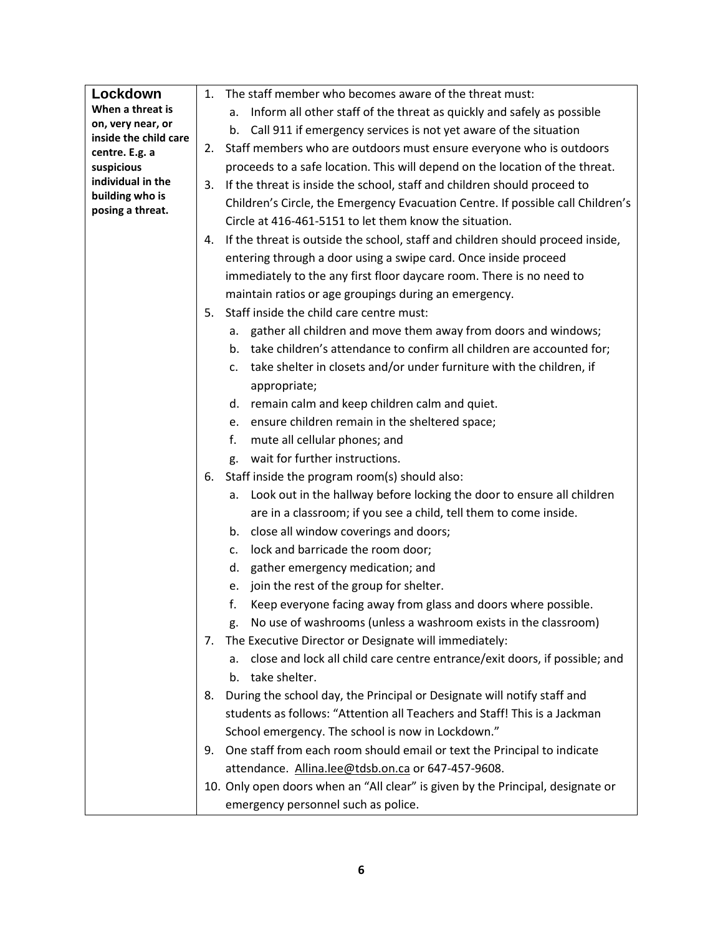| Lockdown                     | 1. | The staff member who becomes aware of the threat must:                           |
|------------------------------|----|----------------------------------------------------------------------------------|
| When a threat is             |    | Inform all other staff of the threat as quickly and safely as possible<br>a.     |
| on, very near, or            |    | Call 911 if emergency services is not yet aware of the situation<br>b.           |
| inside the child care        | 2. | Staff members who are outdoors must ensure everyone who is outdoors              |
| centre. E.g. a<br>suspicious |    | proceeds to a safe location. This will depend on the location of the threat.     |
| individual in the            | 3. | If the threat is inside the school, staff and children should proceed to         |
| building who is              |    | Children's Circle, the Emergency Evacuation Centre. If possible call Children's  |
| posing a threat.             |    | Circle at 416-461-5151 to let them know the situation.                           |
|                              |    |                                                                                  |
|                              | 4. | If the threat is outside the school, staff and children should proceed inside,   |
|                              |    | entering through a door using a swipe card. Once inside proceed                  |
|                              |    | immediately to the any first floor daycare room. There is no need to             |
|                              |    | maintain ratios or age groupings during an emergency.                            |
|                              | 5. | Staff inside the child care centre must:                                         |
|                              |    | gather all children and move them away from doors and windows;<br>а.             |
|                              |    | b. take children's attendance to confirm all children are accounted for;         |
|                              |    | take shelter in closets and/or under furniture with the children, if<br>c.       |
|                              |    | appropriate;                                                                     |
|                              |    | d. remain calm and keep children calm and quiet.                                 |
|                              |    | e. ensure children remain in the sheltered space;                                |
|                              |    | f.<br>mute all cellular phones; and                                              |
|                              |    | wait for further instructions.<br>g.                                             |
|                              | 6. | Staff inside the program room(s) should also:                                    |
|                              |    | a. Look out in the hallway before locking the door to ensure all children        |
|                              |    | are in a classroom; if you see a child, tell them to come inside.                |
|                              |    | close all window coverings and doors;<br>b.                                      |
|                              |    | lock and barricade the room door;<br>c.                                          |
|                              |    | gather emergency medication; and<br>d.                                           |
|                              |    | join the rest of the group for shelter.<br>e.                                    |
|                              |    | f.<br>Keep everyone facing away from glass and doors where possible.             |
|                              |    | No use of washrooms (unless a washroom exists in the classroom)<br>g.            |
|                              | 7. | The Executive Director or Designate will immediately:                            |
|                              |    | close and lock all child care centre entrance/exit doors, if possible; and<br>а. |
|                              |    | b. take shelter.                                                                 |
|                              | 8. | During the school day, the Principal or Designate will notify staff and          |
|                              |    | students as follows: "Attention all Teachers and Staff! This is a Jackman        |
|                              |    | School emergency. The school is now in Lockdown."                                |
|                              | 9. | One staff from each room should email or text the Principal to indicate          |
|                              |    | attendance. Allina.lee@tdsb.on.ca or 647-457-9608.                               |
|                              |    | 10. Only open doors when an "All clear" is given by the Principal, designate or  |
|                              |    |                                                                                  |
|                              |    | emergency personnel such as police.                                              |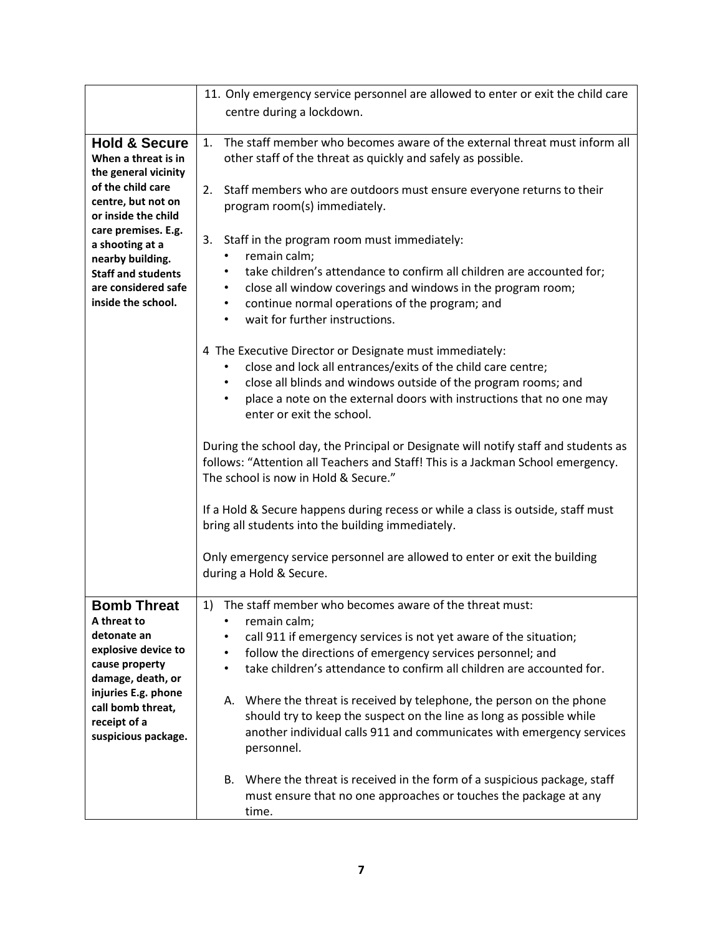|                                           | 11. Only emergency service personnel are allowed to enter or exit the child care       |
|-------------------------------------------|----------------------------------------------------------------------------------------|
|                                           | centre during a lockdown.                                                              |
|                                           |                                                                                        |
| <b>Hold &amp; Secure</b>                  | The staff member who becomes aware of the external threat must inform all<br>1.        |
| When a threat is in                       | other staff of the threat as quickly and safely as possible.                           |
| the general vicinity<br>of the child care |                                                                                        |
| centre, but not on                        | 2.<br>Staff members who are outdoors must ensure everyone returns to their             |
| or inside the child                       | program room(s) immediately.                                                           |
| care premises. E.g.                       |                                                                                        |
| a shooting at a                           | 3.<br>Staff in the program room must immediately:                                      |
| nearby building.                          | remain calm;                                                                           |
| <b>Staff and students</b>                 | take children's attendance to confirm all children are accounted for;<br>$\bullet$     |
| are considered safe<br>inside the school. | close all window coverings and windows in the program room;<br>٠                       |
|                                           | continue normal operations of the program; and<br>٠<br>wait for further instructions.  |
|                                           |                                                                                        |
|                                           | 4 The Executive Director or Designate must immediately:                                |
|                                           | close and lock all entrances/exits of the child care centre;                           |
|                                           | close all blinds and windows outside of the program rooms; and<br>٠                    |
|                                           | place a note on the external doors with instructions that no one may<br>$\bullet$      |
|                                           | enter or exit the school.                                                              |
|                                           |                                                                                        |
|                                           | During the school day, the Principal or Designate will notify staff and students as    |
|                                           | follows: "Attention all Teachers and Staff! This is a Jackman School emergency.        |
|                                           | The school is now in Hold & Secure."                                                   |
|                                           |                                                                                        |
|                                           | If a Hold & Secure happens during recess or while a class is outside, staff must       |
|                                           | bring all students into the building immediately.                                      |
|                                           |                                                                                        |
|                                           | Only emergency service personnel are allowed to enter or exit the building             |
|                                           | during a Hold & Secure.                                                                |
|                                           |                                                                                        |
| <b>Bomb Threat</b><br>A threat to         | 1) The staff member who becomes aware of the threat must:<br>remain calm;<br>$\bullet$ |
| detonate an                               | call 911 if emergency services is not yet aware of the situation;                      |
| explosive device to                       | follow the directions of emergency services personnel; and                             |
| cause property                            | take children's attendance to confirm all children are accounted for.                  |
| damage, death, or                         |                                                                                        |
| injuries E.g. phone                       | A. Where the threat is received by telephone, the person on the phone                  |
| call bomb threat,                         | should try to keep the suspect on the line as long as possible while                   |
| receipt of a<br>suspicious package.       | another individual calls 911 and communicates with emergency services                  |
|                                           | personnel.                                                                             |
|                                           |                                                                                        |
|                                           | B. Where the threat is received in the form of a suspicious package, staff             |
|                                           | must ensure that no one approaches or touches the package at any                       |
|                                           | time.                                                                                  |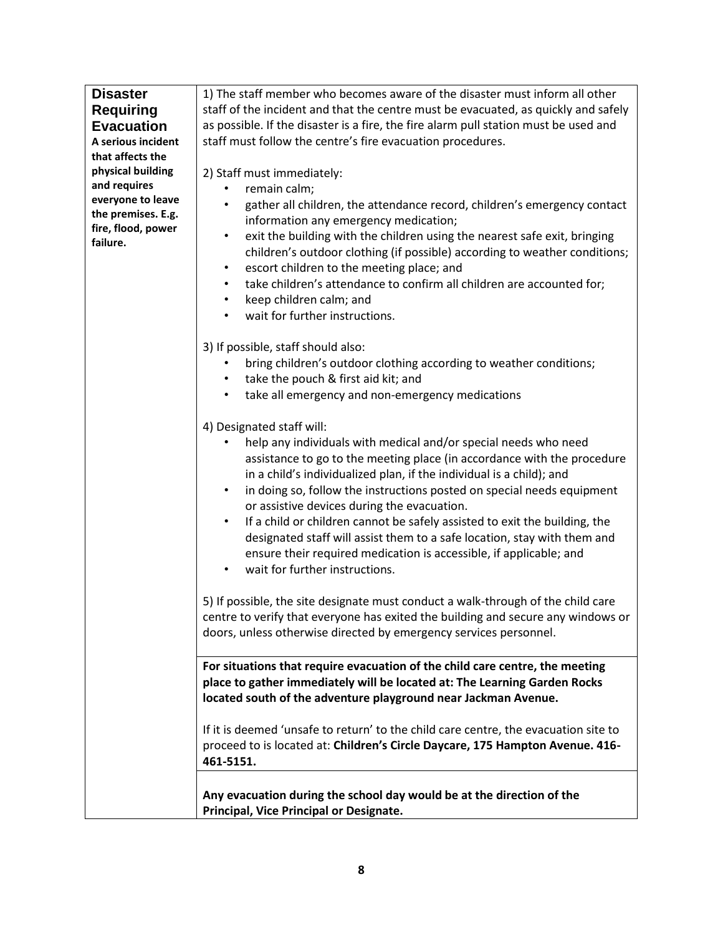| <b>Disaster</b>    | 1) The staff member who becomes aware of the disaster must inform all other             |
|--------------------|-----------------------------------------------------------------------------------------|
| <b>Requiring</b>   | staff of the incident and that the centre must be evacuated, as quickly and safely      |
| <b>Evacuation</b>  | as possible. If the disaster is a fire, the fire alarm pull station must be used and    |
| A serious incident | staff must follow the centre's fire evacuation procedures.                              |
| that affects the   |                                                                                         |
| physical building  | 2) Staff must immediately:                                                              |
| and requires       | remain calm;                                                                            |
| everyone to leave  | gather all children, the attendance record, children's emergency contact                |
| the premises. E.g. | information any emergency medication;                                                   |
| fire, flood, power | exit the building with the children using the nearest safe exit, bringing<br>$\bullet$  |
| failure.           | children's outdoor clothing (if possible) according to weather conditions;              |
|                    |                                                                                         |
|                    | escort children to the meeting place; and<br>$\bullet$                                  |
|                    | take children's attendance to confirm all children are accounted for;<br>$\bullet$      |
|                    | keep children calm; and<br>$\bullet$                                                    |
|                    | wait for further instructions.<br>$\bullet$                                             |
|                    | 3) If possible, staff should also:                                                      |
|                    | bring children's outdoor clothing according to weather conditions;                      |
|                    | take the pouch & first aid kit; and<br>$\bullet$                                        |
|                    | take all emergency and non-emergency medications<br>$\bullet$                           |
|                    |                                                                                         |
|                    | 4) Designated staff will:                                                               |
|                    | help any individuals with medical and/or special needs who need                         |
|                    | assistance to go to the meeting place (in accordance with the procedure                 |
|                    | in a child's individualized plan, if the individual is a child); and                    |
|                    | in doing so, follow the instructions posted on special needs equipment<br>$\bullet$     |
|                    | or assistive devices during the evacuation.                                             |
|                    | If a child or children cannot be safely assisted to exit the building, the<br>$\bullet$ |
|                    | designated staff will assist them to a safe location, stay with them and                |
|                    | ensure their required medication is accessible, if applicable; and                      |
|                    | wait for further instructions.                                                          |
|                    |                                                                                         |
|                    | 5) If possible, the site designate must conduct a walk-through of the child care        |
|                    | centre to verify that everyone has exited the building and secure any windows or        |
|                    | doors, unless otherwise directed by emergency services personnel.                       |
|                    |                                                                                         |
|                    | For situations that require evacuation of the child care centre, the meeting            |
|                    | place to gather immediately will be located at: The Learning Garden Rocks               |
|                    | located south of the adventure playground near Jackman Avenue.                          |
|                    | If it is deemed 'unsafe to return' to the child care centre, the evacuation site to     |
|                    | proceed to is located at: Children's Circle Daycare, 175 Hampton Avenue. 416-           |
|                    | 461-5151.                                                                               |
|                    |                                                                                         |
|                    | Any evacuation during the school day would be at the direction of the                   |
|                    | Principal, Vice Principal or Designate.                                                 |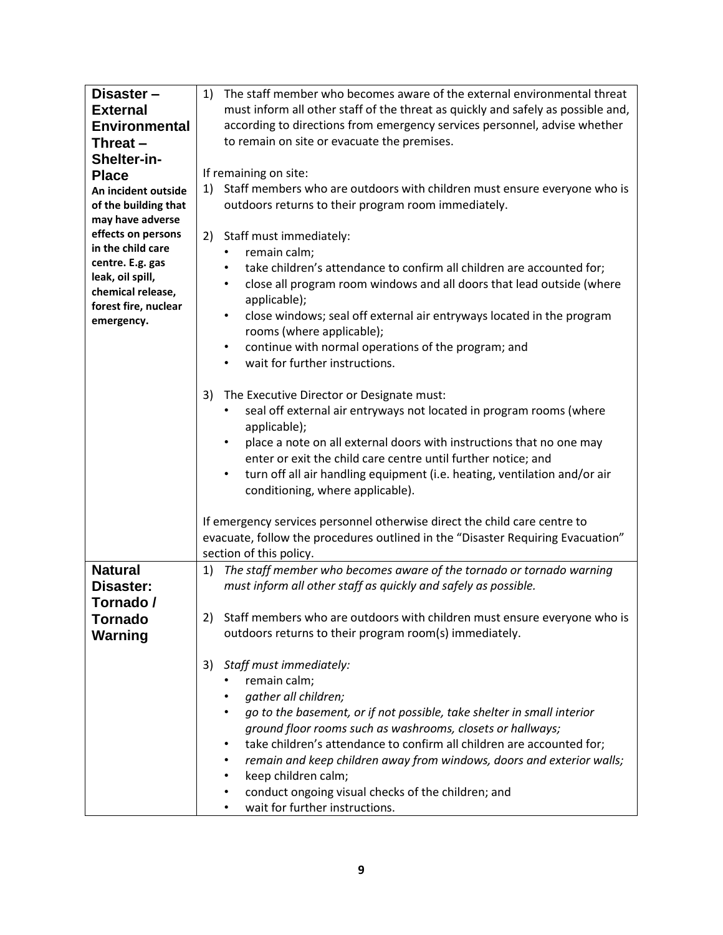| Disaster-            | The staff member who becomes aware of the external environmental threat<br>1)      |
|----------------------|------------------------------------------------------------------------------------|
| <b>External</b>      | must inform all other staff of the threat as quickly and safely as possible and,   |
| <b>Environmental</b> | according to directions from emergency services personnel, advise whether          |
| Threat-              | to remain on site or evacuate the premises.                                        |
| Shelter-in-          |                                                                                    |
| <b>Place</b>         | If remaining on site:                                                              |
| An incident outside  | Staff members who are outdoors with children must ensure everyone who is<br>1)     |
| of the building that | outdoors returns to their program room immediately.                                |
| may have adverse     |                                                                                    |
| effects on persons   | 2)<br>Staff must immediately:                                                      |
| in the child care    |                                                                                    |
| centre. E.g. gas     | remain calm;                                                                       |
| leak, oil spill,     | take children's attendance to confirm all children are accounted for;<br>$\bullet$ |
| chemical release,    | close all program room windows and all doors that lead outside (where<br>$\bullet$ |
| forest fire, nuclear | applicable);                                                                       |
| emergency.           | close windows; seal off external air entryways located in the program<br>$\bullet$ |
|                      | rooms (where applicable);                                                          |
|                      | continue with normal operations of the program; and<br>$\bullet$                   |
|                      | wait for further instructions.                                                     |
|                      |                                                                                    |
|                      | The Executive Director or Designate must:<br>3)                                    |
|                      | seal off external air entryways not located in program rooms (where                |
|                      | applicable);                                                                       |
|                      | place a note on all external doors with instructions that no one may<br>$\bullet$  |
|                      | enter or exit the child care centre until further notice; and                      |
|                      | turn off all air handling equipment (i.e. heating, ventilation and/or air          |
|                      | conditioning, where applicable).                                                   |
|                      |                                                                                    |
|                      | If emergency services personnel otherwise direct the child care centre to          |
|                      | evacuate, follow the procedures outlined in the "Disaster Requiring Evacuation"    |
|                      | section of this policy.                                                            |
| <b>Natural</b>       | The staff member who becomes aware of the tornado or tornado warning               |
|                      | 1)                                                                                 |
| Disaster:            | must inform all other staff as quickly and safely as possible.                     |
| Tornado /            |                                                                                    |
| Tornado              | Staff members who are outdoors with children must ensure everyone who is           |
| <b>Warning</b>       | outdoors returns to their program room(s) immediately.                             |
|                      |                                                                                    |
|                      | Staff must immediately:<br>3)                                                      |
|                      | remain calm;                                                                       |
|                      | gather all children;                                                               |
|                      | go to the basement, or if not possible, take shelter in small interior             |
|                      | ground floor rooms such as washrooms, closets or hallways;                         |
|                      | take children's attendance to confirm all children are accounted for;              |
|                      | remain and keep children away from windows, doors and exterior walls;              |
|                      | keep children calm;                                                                |
|                      | conduct ongoing visual checks of the children; and<br>٠                            |
|                      | wait for further instructions.<br>$\bullet$                                        |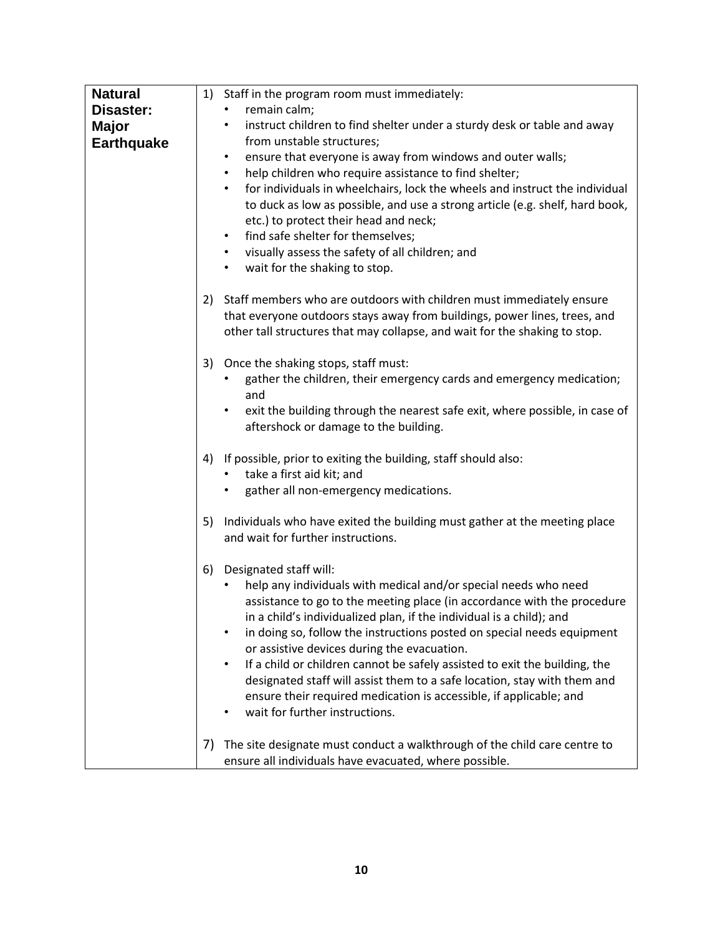| <b>Natural</b>    | 1) Staff in the program room must immediately:                                           |
|-------------------|------------------------------------------------------------------------------------------|
| Disaster:         | remain calm;                                                                             |
| <b>Major</b>      | instruct children to find shelter under a sturdy desk or table and away<br>$\bullet$     |
| <b>Earthquake</b> | from unstable structures;                                                                |
|                   | ensure that everyone is away from windows and outer walls;<br>$\bullet$                  |
|                   | help children who require assistance to find shelter;<br>$\bullet$                       |
|                   | for individuals in wheelchairs, lock the wheels and instruct the individual<br>$\bullet$ |
|                   | to duck as low as possible, and use a strong article (e.g. shelf, hard book,             |
|                   | etc.) to protect their head and neck;                                                    |
|                   | find safe shelter for themselves;<br>$\bullet$                                           |
|                   | visually assess the safety of all children; and<br>$\bullet$                             |
|                   | wait for the shaking to stop.<br>$\bullet$                                               |
|                   |                                                                                          |
|                   | 2) Staff members who are outdoors with children must immediately ensure                  |
|                   | that everyone outdoors stays away from buildings, power lines, trees, and                |
|                   |                                                                                          |
|                   | other tall structures that may collapse, and wait for the shaking to stop.               |
|                   | 3) Once the shaking stops, staff must:                                                   |
|                   | gather the children, their emergency cards and emergency medication;                     |
|                   | and                                                                                      |
|                   | exit the building through the nearest safe exit, where possible, in case of<br>٠         |
|                   | aftershock or damage to the building.                                                    |
|                   |                                                                                          |
|                   | If possible, prior to exiting the building, staff should also:<br>4)                     |
|                   | take a first aid kit; and                                                                |
|                   | gather all non-emergency medications.                                                    |
|                   |                                                                                          |
|                   | 5) Individuals who have exited the building must gather at the meeting place             |
|                   | and wait for further instructions.                                                       |
|                   |                                                                                          |
|                   | 6)<br>Designated staff will:                                                             |
|                   | help any individuals with medical and/or special needs who need                          |
|                   | assistance to go to the meeting place (in accordance with the procedure                  |
|                   | in a child's individualized plan, if the individual is a child); and                     |
|                   | in doing so, follow the instructions posted on special needs equipment<br>$\bullet$      |
|                   | or assistive devices during the evacuation.                                              |
|                   | If a child or children cannot be safely assisted to exit the building, the<br>$\bullet$  |
|                   | designated staff will assist them to a safe location, stay with them and                 |
|                   | ensure their required medication is accessible, if applicable; and                       |
|                   | wait for further instructions.                                                           |
|                   |                                                                                          |
|                   | The site designate must conduct a walkthrough of the child care centre to<br>7)          |
|                   | ensure all individuals have evacuated, where possible.                                   |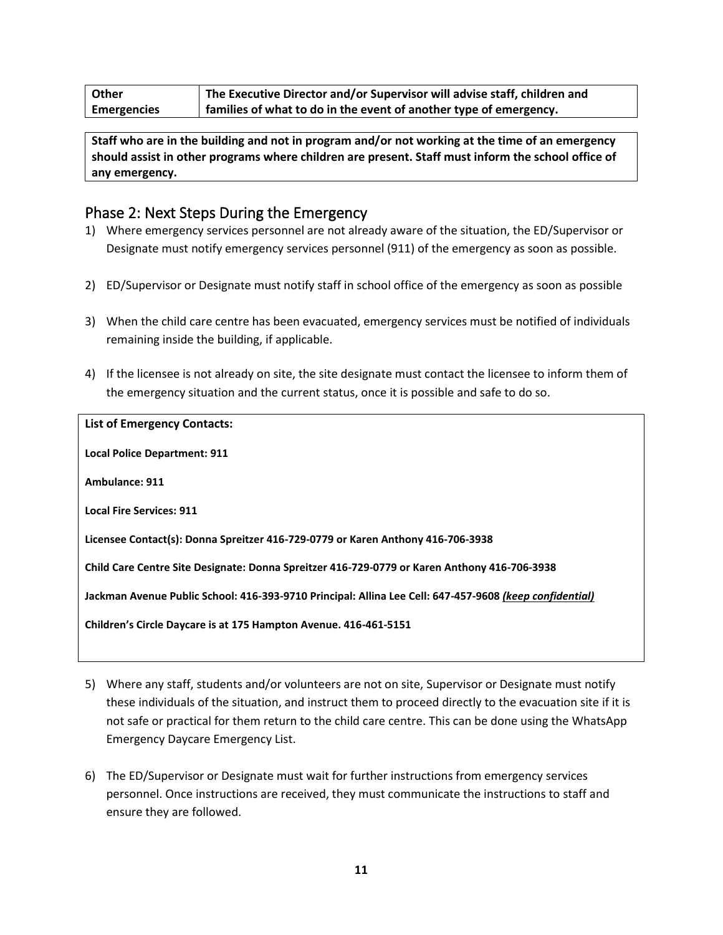| <b>Other</b>       | The Executive Director and/or Supervisor will advise staff, children and |
|--------------------|--------------------------------------------------------------------------|
| <b>Emergencies</b> | families of what to do in the event of another type of emergency.        |

**Staff who are in the building and not in program and/or not working at the time of an emergency should assist in other programs where children are present. Staff must inform the school office of any emergency.**

## Phase 2: Next Steps During the Emergency

- 1) Where emergency services personnel are not already aware of the situation, the ED/Supervisor or Designate must notify emergency services personnel (911) of the emergency as soon as possible.
- 2) ED/Supervisor or Designate must notify staff in school office of the emergency as soon as possible
- 3) When the child care centre has been evacuated, emergency services must be notified of individuals remaining inside the building, if applicable.
- 4) If the licensee is not already on site, the site designate must contact the licensee to inform them of the emergency situation and the current status, once it is possible and safe to do so.

| <b>List of Emergency Contacts:</b>                                                                      |
|---------------------------------------------------------------------------------------------------------|
| <b>Local Police Department: 911</b>                                                                     |
| Ambulance: 911                                                                                          |
| <b>Local Fire Services: 911</b>                                                                         |
| Licensee Contact(s): Donna Spreitzer 416-729-0779 or Karen Anthony 416-706-3938                         |
| Child Care Centre Site Designate: Donna Spreitzer 416-729-0779 or Karen Anthony 416-706-3938            |
| Jackman Avenue Public School: 416-393-9710 Principal: Allina Lee Cell: 647-457-9608 (keep confidential) |
| Children's Circle Daycare is at 175 Hampton Avenue. 416-461-5151                                        |

- 5) Where any staff, students and/or volunteers are not on site, Supervisor or Designate must notify these individuals of the situation, and instruct them to proceed directly to the evacuation site if it is not safe or practical for them return to the child care centre. This can be done using the WhatsApp Emergency Daycare Emergency List.
- 6) The ED/Supervisor or Designate must wait for further instructions from emergency services personnel. Once instructions are received, they must communicate the instructions to staff and ensure they are followed.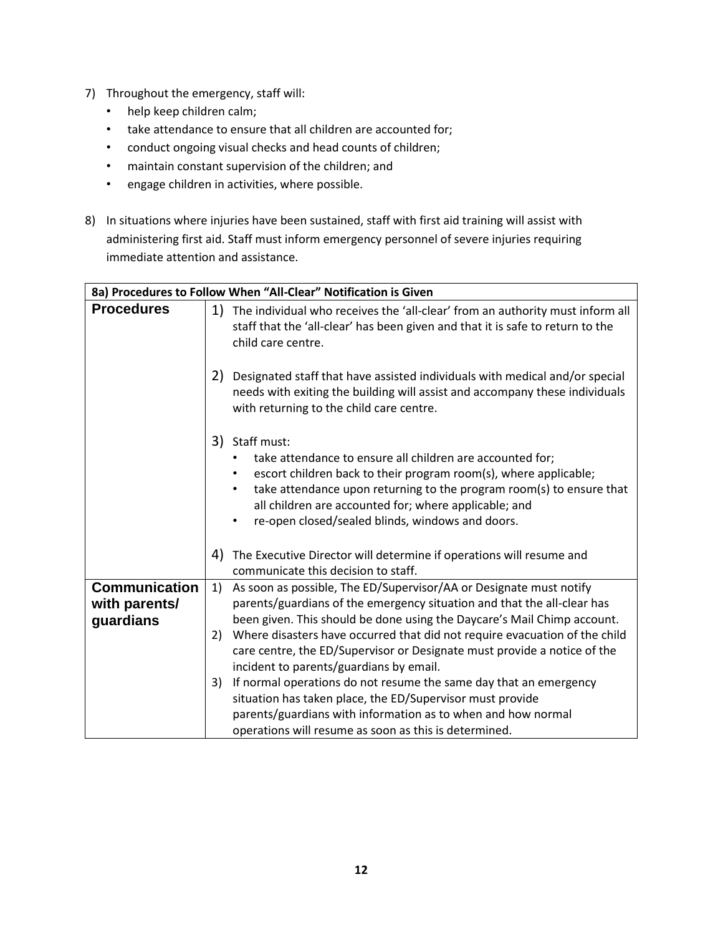- 7) Throughout the emergency, staff will:
	- help keep children calm;
	- take attendance to ensure that all children are accounted for;
	- conduct ongoing visual checks and head counts of children;
	- maintain constant supervision of the children; and
	- engage children in activities, where possible.
- 8) In situations where injuries have been sustained, staff with first aid training will assist with administering first aid. Staff must inform emergency personnel of severe injuries requiring immediate attention and assistance.

| 8a) Procedures to Follow When "All-Clear" Notification is Given |                                                                                                                                                                                                                                                                                                                                                                                                                                                                                                                                                                                                                                                                                                            |  |  |
|-----------------------------------------------------------------|------------------------------------------------------------------------------------------------------------------------------------------------------------------------------------------------------------------------------------------------------------------------------------------------------------------------------------------------------------------------------------------------------------------------------------------------------------------------------------------------------------------------------------------------------------------------------------------------------------------------------------------------------------------------------------------------------------|--|--|
| <b>Procedures</b>                                               | 1)<br>The individual who receives the 'all-clear' from an authority must inform all<br>staff that the 'all-clear' has been given and that it is safe to return to the<br>child care centre.                                                                                                                                                                                                                                                                                                                                                                                                                                                                                                                |  |  |
|                                                                 | 2)<br>Designated staff that have assisted individuals with medical and/or special<br>needs with exiting the building will assist and accompany these individuals<br>with returning to the child care centre.                                                                                                                                                                                                                                                                                                                                                                                                                                                                                               |  |  |
|                                                                 | 3) Staff must:<br>take attendance to ensure all children are accounted for;<br>escort children back to their program room(s), where applicable;<br>take attendance upon returning to the program room(s) to ensure that<br>٠<br>all children are accounted for; where applicable; and<br>re-open closed/sealed blinds, windows and doors.<br>$\bullet$                                                                                                                                                                                                                                                                                                                                                     |  |  |
|                                                                 | 4)<br>The Executive Director will determine if operations will resume and<br>communicate this decision to staff.                                                                                                                                                                                                                                                                                                                                                                                                                                                                                                                                                                                           |  |  |
| <b>Communication</b><br>with parents/<br>guardians              | As soon as possible, The ED/Supervisor/AA or Designate must notify<br>1)<br>parents/guardians of the emergency situation and that the all-clear has<br>been given. This should be done using the Daycare's Mail Chimp account.<br>Where disasters have occurred that did not require evacuation of the child<br>2)<br>care centre, the ED/Supervisor or Designate must provide a notice of the<br>incident to parents/guardians by email.<br>If normal operations do not resume the same day that an emergency<br>3)<br>situation has taken place, the ED/Supervisor must provide<br>parents/guardians with information as to when and how normal<br>operations will resume as soon as this is determined. |  |  |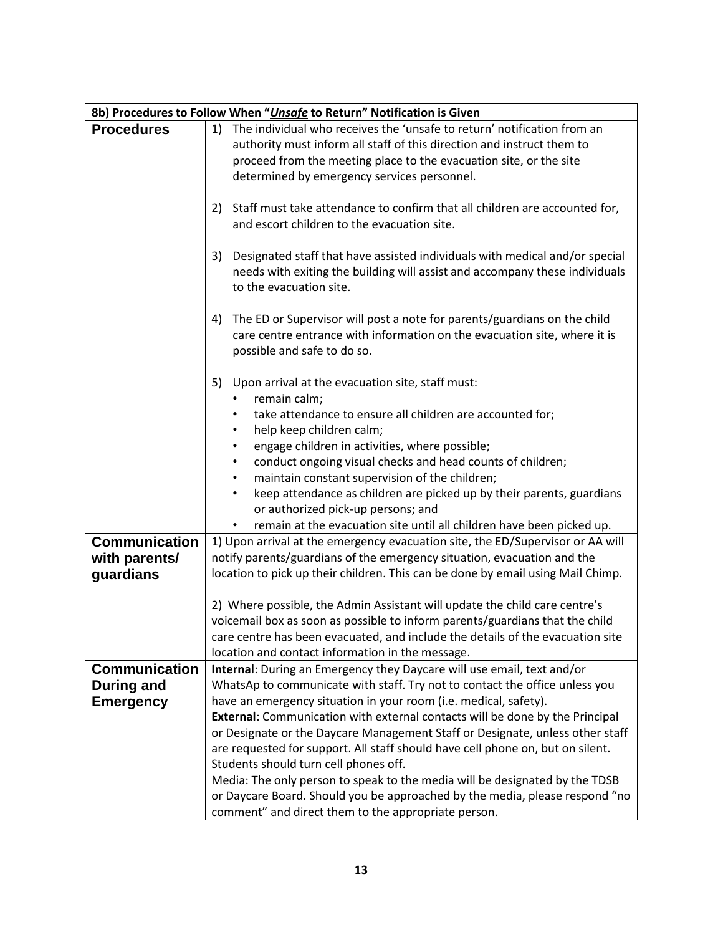| 8b) Procedures to Follow When "Unsafe to Return" Notification is Given |                                                                                                                                                                                                                                                                              |  |
|------------------------------------------------------------------------|------------------------------------------------------------------------------------------------------------------------------------------------------------------------------------------------------------------------------------------------------------------------------|--|
| <b>Procedures</b>                                                      | The individual who receives the 'unsafe to return' notification from an<br>1)<br>authority must inform all staff of this direction and instruct them to<br>proceed from the meeting place to the evacuation site, or the site<br>determined by emergency services personnel. |  |
|                                                                        | Staff must take attendance to confirm that all children are accounted for,<br>2)<br>and escort children to the evacuation site.                                                                                                                                              |  |
|                                                                        | Designated staff that have assisted individuals with medical and/or special<br>3)<br>needs with exiting the building will assist and accompany these individuals<br>to the evacuation site.                                                                                  |  |
|                                                                        | The ED or Supervisor will post a note for parents/guardians on the child<br>4)<br>care centre entrance with information on the evacuation site, where it is<br>possible and safe to do so.                                                                                   |  |
|                                                                        | 5)<br>Upon arrival at the evacuation site, staff must:<br>remain calm;                                                                                                                                                                                                       |  |
|                                                                        | take attendance to ensure all children are accounted for;<br>help keep children calm;                                                                                                                                                                                        |  |
|                                                                        | engage children in activities, where possible;<br>$\bullet$<br>conduct ongoing visual checks and head counts of children;<br>$\bullet$                                                                                                                                       |  |
|                                                                        | maintain constant supervision of the children;<br>$\bullet$                                                                                                                                                                                                                  |  |
|                                                                        | keep attendance as children are picked up by their parents, guardians<br>$\bullet$<br>or authorized pick-up persons; and                                                                                                                                                     |  |
|                                                                        | remain at the evacuation site until all children have been picked up.<br>$\bullet$                                                                                                                                                                                           |  |
| <b>Communication</b><br>with parents/<br>guardians                     | 1) Upon arrival at the emergency evacuation site, the ED/Supervisor or AA will<br>notify parents/guardians of the emergency situation, evacuation and the<br>location to pick up their children. This can be done by email using Mail Chimp.                                 |  |
|                                                                        | 2) Where possible, the Admin Assistant will update the child care centre's                                                                                                                                                                                                   |  |
|                                                                        | voicemail box as soon as possible to inform parents/guardians that the child<br>care centre has been evacuated, and include the details of the evacuation site                                                                                                               |  |
|                                                                        | location and contact information in the message.                                                                                                                                                                                                                             |  |
| <b>Communication</b>                                                   | Internal: During an Emergency they Daycare will use email, text and/or                                                                                                                                                                                                       |  |
| <b>During and</b>                                                      | WhatsAp to communicate with staff. Try not to contact the office unless you                                                                                                                                                                                                  |  |
| <b>Emergency</b>                                                       | have an emergency situation in your room (i.e. medical, safety).                                                                                                                                                                                                             |  |
|                                                                        | External: Communication with external contacts will be done by the Principal<br>or Designate or the Daycare Management Staff or Designate, unless other staff                                                                                                                |  |
|                                                                        | are requested for support. All staff should have cell phone on, but on silent.                                                                                                                                                                                               |  |
|                                                                        | Students should turn cell phones off.                                                                                                                                                                                                                                        |  |
|                                                                        | Media: The only person to speak to the media will be designated by the TDSB                                                                                                                                                                                                  |  |
|                                                                        | or Daycare Board. Should you be approached by the media, please respond "no                                                                                                                                                                                                  |  |
|                                                                        | comment" and direct them to the appropriate person.                                                                                                                                                                                                                          |  |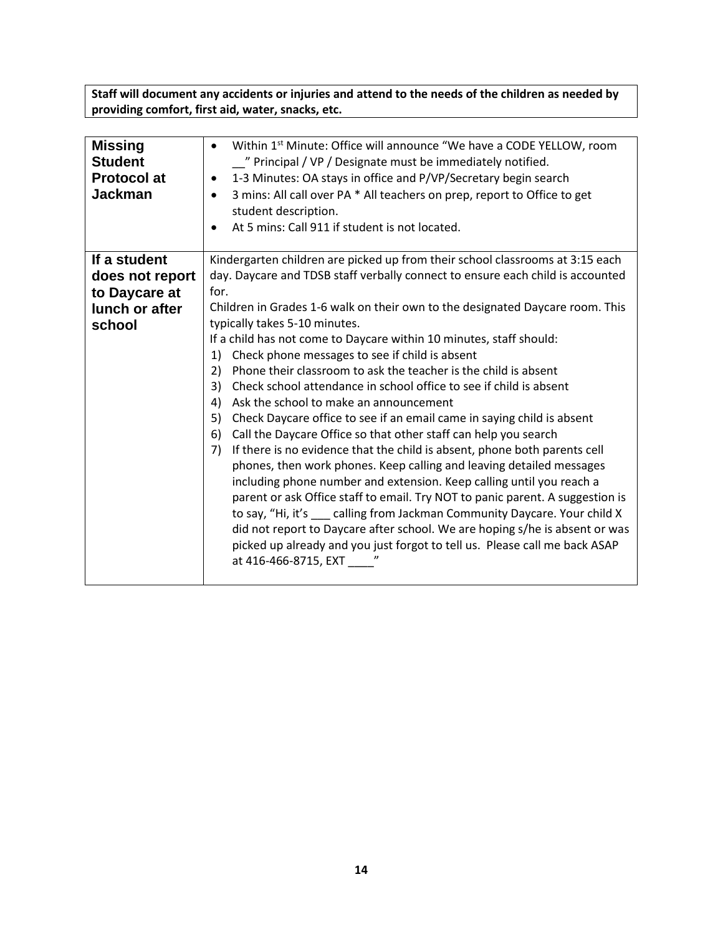**Staff will document any accidents or injuries and attend to the needs of the children as needed by providing comfort, first aid, water, snacks, etc.** 

| <b>Missing</b><br><b>Student</b><br><b>Protocol at</b><br><b>Jackman</b> | Within 1st Minute: Office will announce "We have a CODE YELLOW, room<br>$\bullet$<br>" Principal / VP / Designate must be immediately notified.<br>1-3 Minutes: OA stays in office and P/VP/Secretary begin search<br>$\bullet$<br>3 mins: All call over PA * All teachers on prep, report to Office to get<br>$\bullet$<br>student description.<br>At 5 mins: Call 911 if student is not located.<br>$\bullet$ |
|--------------------------------------------------------------------------|-----------------------------------------------------------------------------------------------------------------------------------------------------------------------------------------------------------------------------------------------------------------------------------------------------------------------------------------------------------------------------------------------------------------|
| If a student                                                             | Kindergarten children are picked up from their school classrooms at 3:15 each                                                                                                                                                                                                                                                                                                                                   |
| does not report                                                          | day. Daycare and TDSB staff verbally connect to ensure each child is accounted                                                                                                                                                                                                                                                                                                                                  |
| to Daycare at                                                            | for.                                                                                                                                                                                                                                                                                                                                                                                                            |
| lunch or after                                                           | Children in Grades 1-6 walk on their own to the designated Daycare room. This                                                                                                                                                                                                                                                                                                                                   |
| school                                                                   | typically takes 5-10 minutes.                                                                                                                                                                                                                                                                                                                                                                                   |
|                                                                          | If a child has not come to Daycare within 10 minutes, staff should:                                                                                                                                                                                                                                                                                                                                             |
|                                                                          | Check phone messages to see if child is absent<br>1)                                                                                                                                                                                                                                                                                                                                                            |
|                                                                          | 2)<br>Phone their classroom to ask the teacher is the child is absent                                                                                                                                                                                                                                                                                                                                           |
|                                                                          | 3)<br>Check school attendance in school office to see if child is absent                                                                                                                                                                                                                                                                                                                                        |
|                                                                          | Ask the school to make an announcement<br>4)                                                                                                                                                                                                                                                                                                                                                                    |
|                                                                          | 5)<br>Check Daycare office to see if an email came in saying child is absent                                                                                                                                                                                                                                                                                                                                    |
|                                                                          | Call the Daycare Office so that other staff can help you search<br>6)                                                                                                                                                                                                                                                                                                                                           |
|                                                                          | If there is no evidence that the child is absent, phone both parents cell<br>7)                                                                                                                                                                                                                                                                                                                                 |
|                                                                          | phones, then work phones. Keep calling and leaving detailed messages                                                                                                                                                                                                                                                                                                                                            |
|                                                                          | including phone number and extension. Keep calling until you reach a                                                                                                                                                                                                                                                                                                                                            |
|                                                                          | parent or ask Office staff to email. Try NOT to panic parent. A suggestion is                                                                                                                                                                                                                                                                                                                                   |
|                                                                          | to say, "Hi, it's calling from Jackman Community Daycare. Your child X                                                                                                                                                                                                                                                                                                                                          |
|                                                                          | did not report to Daycare after school. We are hoping s/he is absent or was                                                                                                                                                                                                                                                                                                                                     |
|                                                                          | picked up already and you just forgot to tell us. Please call me back ASAP                                                                                                                                                                                                                                                                                                                                      |
|                                                                          | at 416-466-8715, EXT "                                                                                                                                                                                                                                                                                                                                                                                          |
|                                                                          |                                                                                                                                                                                                                                                                                                                                                                                                                 |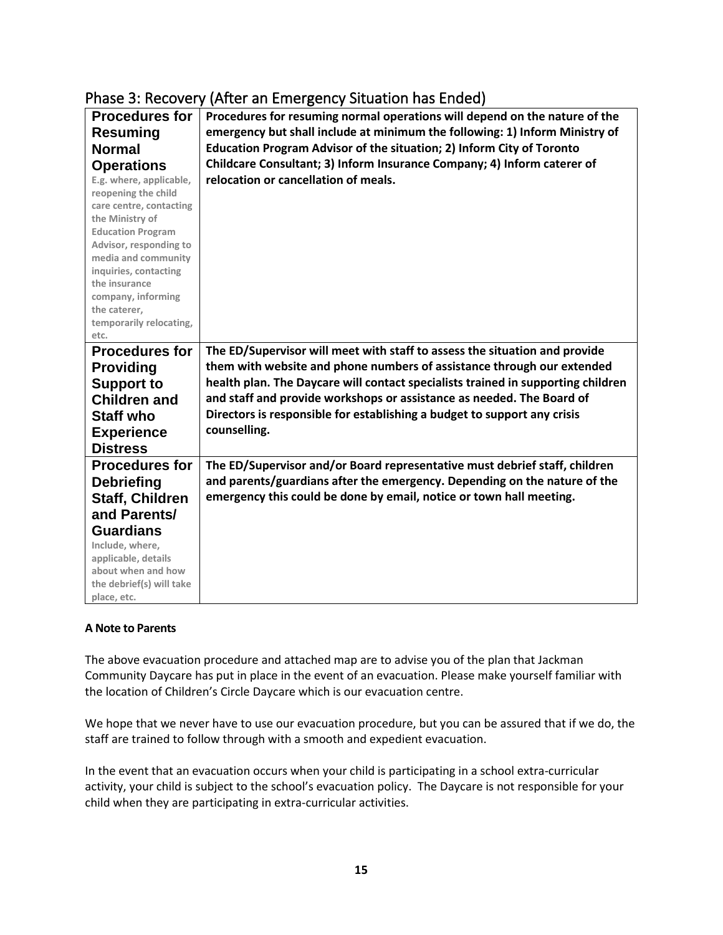| <b>Procedures for</b>                  | Which are Ellier Berley preaderent has Eliacal<br>Procedures for resuming normal operations will depend on the nature of the |
|----------------------------------------|------------------------------------------------------------------------------------------------------------------------------|
| <b>Resuming</b>                        | emergency but shall include at minimum the following: 1) Inform Ministry of                                                  |
| <b>Normal</b>                          | Education Program Advisor of the situation; 2) Inform City of Toronto                                                        |
|                                        |                                                                                                                              |
| <b>Operations</b>                      | Childcare Consultant; 3) Inform Insurance Company; 4) Inform caterer of                                                      |
| E.g. where, applicable,                | relocation or cancellation of meals.                                                                                         |
| reopening the child                    |                                                                                                                              |
| care centre, contacting                |                                                                                                                              |
| the Ministry of                        |                                                                                                                              |
| <b>Education Program</b>               |                                                                                                                              |
| Advisor, responding to                 |                                                                                                                              |
| media and community                    |                                                                                                                              |
| inquiries, contacting<br>the insurance |                                                                                                                              |
| company, informing                     |                                                                                                                              |
| the caterer,                           |                                                                                                                              |
| temporarily relocating,                |                                                                                                                              |
| etc.                                   |                                                                                                                              |
| <b>Procedures for</b>                  | The ED/Supervisor will meet with staff to assess the situation and provide                                                   |
|                                        | them with website and phone numbers of assistance through our extended                                                       |
| <b>Providing</b>                       |                                                                                                                              |
| <b>Support to</b>                      | health plan. The Daycare will contact specialists trained in supporting children                                             |
| <b>Children and</b>                    | and staff and provide workshops or assistance as needed. The Board of                                                        |
| <b>Staff who</b>                       | Directors is responsible for establishing a budget to support any crisis                                                     |
| <b>Experience</b>                      | counselling.                                                                                                                 |
| <b>Distress</b>                        |                                                                                                                              |
|                                        |                                                                                                                              |
| <b>Procedures for</b>                  | The ED/Supervisor and/or Board representative must debrief staff, children                                                   |
| <b>Debriefing</b>                      | and parents/guardians after the emergency. Depending on the nature of the                                                    |
| <b>Staff, Children</b>                 | emergency this could be done by email, notice or town hall meeting.                                                          |
| and Parents/                           |                                                                                                                              |
| <b>Guardians</b>                       |                                                                                                                              |
| Include, where,                        |                                                                                                                              |
| applicable, details                    |                                                                                                                              |
| about when and how                     |                                                                                                                              |
| the debrief(s) will take               |                                                                                                                              |
| place, etc.                            |                                                                                                                              |

## Phase 3: Recovery (After an Emergency Situation has Ended)

#### **A Note to Parents**

The above evacuation procedure and attached map are to advise you of the plan that Jackman Community Daycare has put in place in the event of an evacuation. Please make yourself familiar with the location of Children's Circle Daycare which is our evacuation centre.

We hope that we never have to use our evacuation procedure, but you can be assured that if we do, the staff are trained to follow through with a smooth and expedient evacuation.

In the event that an evacuation occurs when your child is participating in a school extra-curricular activity, your child is subject to the school's evacuation policy. The Daycare is not responsible for your child when they are participating in extra-curricular activities.